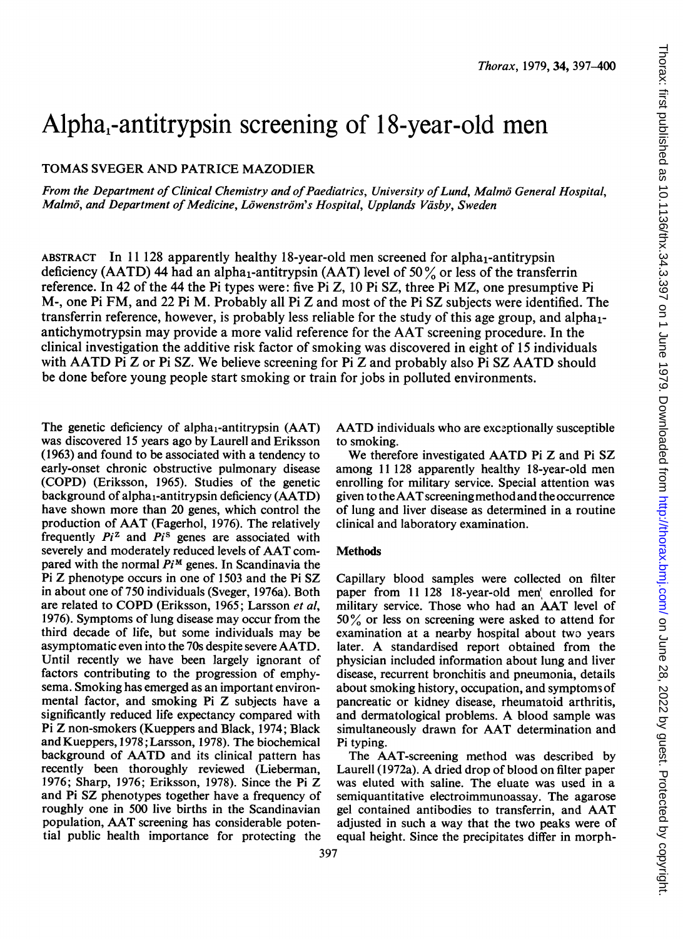# Alpha,-antitrypsin screening of 18-year-old men

TOMAS SVEGER AND PATRICE MAZODIER

From the Department of Clinical Chemistry and of Paediatrics, University of Lund, Malmö General Hospital, Malmö, and Department of Medicine, Löwenström's Hospital, Upplands Väsby, Sweden

ABSTRACT In 11128 apparently healthy 18-year-old men screened for alpha<sub>1</sub>-antitrypsin deficiency (AATD) 44 had an alpha<sub>1</sub>-antitrypsin (AAT) level of 50% or less of the transferrin reference. In 42 of the 44 the Pi types were: five Pi Z, 10 Pi SZ, three Pi MZ, one presumptive Pi M-, one Pi FM, and 22 Pi M. Probably all Pi Z and most of the Pi SZ subjects were identified. The transferrin reference, however, is probably less reliable for the study of this age group, and alphaiantichymotrypsin may provide <sup>a</sup> more valid reference for the AAT screening procedure. In the clinical investigation the additive risk factor of smoking was discovered in eight of 15 individuals with AATD Pi Z or Pi SZ. We believe screening for Pi Z and probably also Pi SZ AATD should be done before young people start smoking or train for jobs in polluted environments.

The genetic deficiency of alpha<sub>1</sub>-antitrypsin  $(AAT)$ was discovered 15 years ago by Laurell and Eriksson (1963) and found to be associated with a tendency to early-onset chronic obstructive pulmonary disease (COPD) (Eriksson, 1965). Studies of the genetic background of alpha<sub>1</sub>-antitrypsin deficiency (AATD) have shown more than 20 genes, which control the production of AAT (Fagerhol, 1976). The relatively frequently  $Pi^2$  and  $Pi^3$  genes are associated with severely and moderately reduced levels of AAT compared with the normal  $Pi^M$  genes. In Scandinavia the Pi Z phenotype occurs in one of <sup>1503</sup> and the Pi SZ in about one of 750 individuals (Sveger, 1976a). Both are related to COPD (Eriksson, 1965; Larsson et al, 1976). Symptoms of lung disease may occur from the third decade of life, but some individuals may be asymptomatic even into the 70s despite severe AATD. Until recently we have been largely ignorant of factors contributing to the progression of emphysema. Smoking has emerged as an important environmental factor, and smoking Pi Z subjects have a significantly reduced life expectancy compared with Pi Z non-smokers (Kueppers and Black, 1974; Black and Kueppers, 1978; Larsson, 1978). The biochemical background of AATD and its clinical pattern has recently been thoroughly reviewed (Lieberman, 1976; Sharp, 1976; Eriksson, 1978). Since the Pi Z and Pi SZ phenotypes together have a frequency of roughly one in 500 live births in the Scandinavian population, AAT screening has considerable potential public health importance for protecting the AATD individuals who are exceptionally susceptible to smoking.

We therefore investigated AATD Pi Z and Pi SZ among <sup>11</sup> 128 apparently healthy 18-year-old men enrolling for military service. Special attention was given to the AATscreening method and the occurrence of lung and liver disease as determined in a routine clinical and laboratory examination.

### **Methods**

Capillary blood samples were collected on filter paper from 11 128 18-year-old men' enrolled for military service. Those who had an AAT level of 50% or less on screening were asked to attend for examination at a nearby hospital about two years later. A standardised report obtained from the physician included information about lung and liver disease, recurrent bronchitis and pneumonia, details about smoking history, occupation, and symptoms of pancreatic or kidney disease, rheumatoid arthritis, and dermatological problems. A blood sample was simultaneously drawn for AAT determination and Pi typing.

The AAT-screening method was described by Laurell (1972a). A dried drop of blood on filter paper was eluted with saline. The eluate was used in a semiquantitative electroimmunoassay. The agarose gel contained antibodies to transferrin, and AAT adjusted in such a way that the two peaks were of equal height. Since the precipitates differ in morph-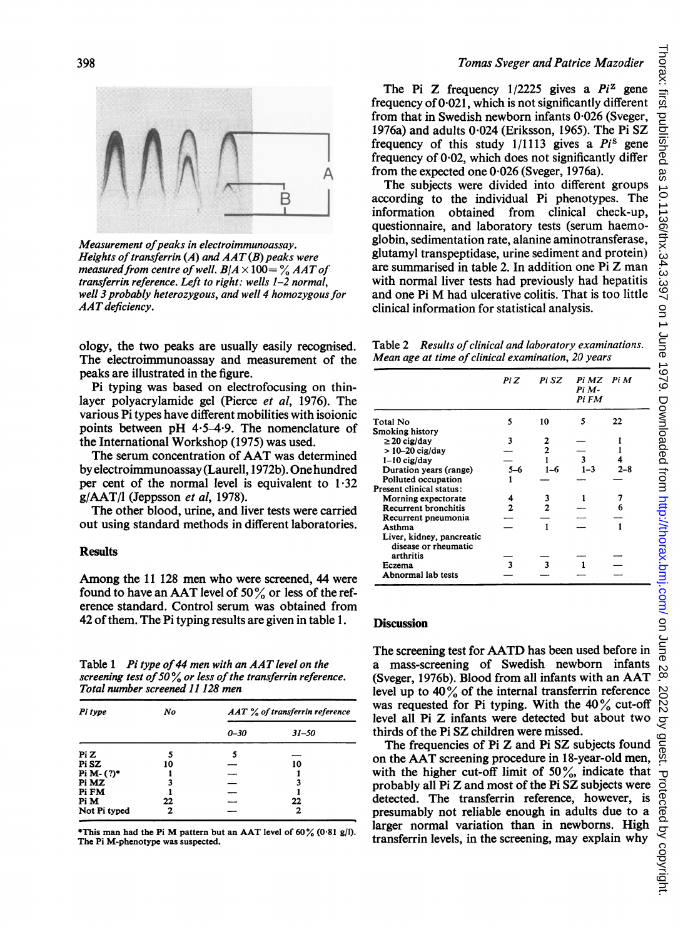# R

Measurement of peaks in electroimmunoassay. Heights of transferrin (A) and  $AAT(B)$  peaks were measured from centre of well.  $B/A \times 100 = \%$  AAT of transferrin reference. Left to right: wells 1-2 normal, well 3 probably heterozygous, and well 4 homozygous for AATdeficiency.

ology, the two peaks are usually easily recognised. The electroimmunoassay and measurement of the peaks are illustrated in the figure.

Pi typing was based on electrofocusing on thinlayer polyacrylamide gel (Pierce et al, 1976). The various Pi types have different mobilities with isoionic points between pH  $4.5-4.9$ . The nomenclature of the International Workshop (1975) was used.

The serum concentration of AAT was determined by electroimmunoassay (Laurell, 1972b). Onehundred per cent of the normal level is equivalent to  $1.32$  $g/AAT/l$  (Jeppsson et al, 1978).

The other blood, urine, and liver tests were carried out using standard methods in different laboratories.

### **Results**

Among the <sup>11</sup> <sup>128</sup> men who were screened, 44 were found to have an AAT level of <sup>50</sup> % or less of the reference standard. Control serum was obtained from 42 of them. The Pi typing results are given in table 1.

Table 1 Pi type of 44 men with an AAT level on the screening test of 50% or less of the transferrin reference. Total number screened 11 128 men

| Pi type      | No | $AAT$ % of transferrin reference |           |  |
|--------------|----|----------------------------------|-----------|--|
|              |    | $0 - 30$                         | $31 - 50$ |  |
| Pi Z         | 5  | 5                                |           |  |
| Pi SZ        | 10 |                                  | 10        |  |
| Pi M- (?)*   |    | -                                |           |  |
| Pi MZ        |    |                                  |           |  |
| Pi FM        |    |                                  |           |  |
| Pi M         | 22 |                                  | 22        |  |
| Not Pi typed | 2  |                                  | 2         |  |

\*This man had the Pi M pattern but an AAT level of  $60\%$  (0.81 g/l). The Pi M-phenotype was suspected.

## Tomas Sveger and Patrice Mazodier

The Pi Z frequency  $1/2225$  gives a  $Pi^2$  gene frequency of  $0.021$ , which is not significantly different from that in Swedish newborn infants 0-026 (Sveger, 1976a) and adults 0-024 (Eriksson, 1965). The Pi SZ frequency of this study  $1/1113$  gives a  $Pi^s$  gene frequency of  $0.02$ , which does not significantly differ from the expected one 0-026 (Sveger, 1976a).

The subjects were divided into different groups according to the individual Pi phenotypes. The information obtained from clinical check-up, questionnaire, and laboratory tests (serum haemoglobin, sedimentation rate, alanine aminotransferase, glutamyl transpeptidase, urine sediment and protein) are summarised in table 2. In addition one Pi Z man with normal liver tests had previously had hepatitis and one Pi M had ulcerative colitis. That is too little clinical information for statistical analysis.

Table 2 Results of clinical and laboratory examinations. Mean age at time of clinical examination, 20 years

|                                                                | Pi Z | Pi SZ | Pi MZ Pi M<br>Pi M-<br>Pi FM |     |
|----------------------------------------------------------------|------|-------|------------------------------|-----|
| Total No                                                       | 5    | 10    | 5                            | 22  |
| <b>Smoking history</b>                                         |      |       |                              |     |
| $\geq$ 20 cig/day                                              | 3    |       |                              |     |
| $>$ 10–20 cig/day                                              |      |       |                              |     |
| $1-10$ cig/day                                                 |      |       | 3                            |     |
| Duration years (range)                                         | 5–6  | 1-6   | $1 - 3$                      | 7–R |
| Polluted occupation                                            |      |       |                              |     |
| Present clinical status:                                       |      |       |                              |     |
| Morning expectorate                                            |      | 3     |                              |     |
| <b>Recurrent bronchitis</b>                                    |      |       |                              |     |
| Recurrent pneumonia                                            |      |       |                              |     |
| Asthma                                                         |      |       |                              |     |
| Liver, kidney, pancreatic<br>disease or rheumatic<br>arthritis |      |       |                              |     |
| Eczema                                                         |      |       |                              |     |
| Abnormal lab tests                                             |      |       |                              |     |

### **Discussion**

The screening test for AATD has been used before in a mass-screening of Swedish newborn infants (Sveger, 1976b). Blood from all infants with an AAT level up to 40% of the internal transferrin reference was requested for Pi typing. With the  $40\%$  cut-off level all Pi Z infants were detected but about two thirds of the Pi SZ children were missed.

The frequencies of Pi Z and Pi SZ subjects found on the AAT screening procedure in 18-year-old men, with the higher cut-off limit of  $50\%$ , indicate that probably all Pi Z and most of the Pi SZ subjects were detected. The transferrin reference, however, is presumably not reliable enough in adults due to a larger normal variation than in newborns. High transferrin levels, in the screening, may explain why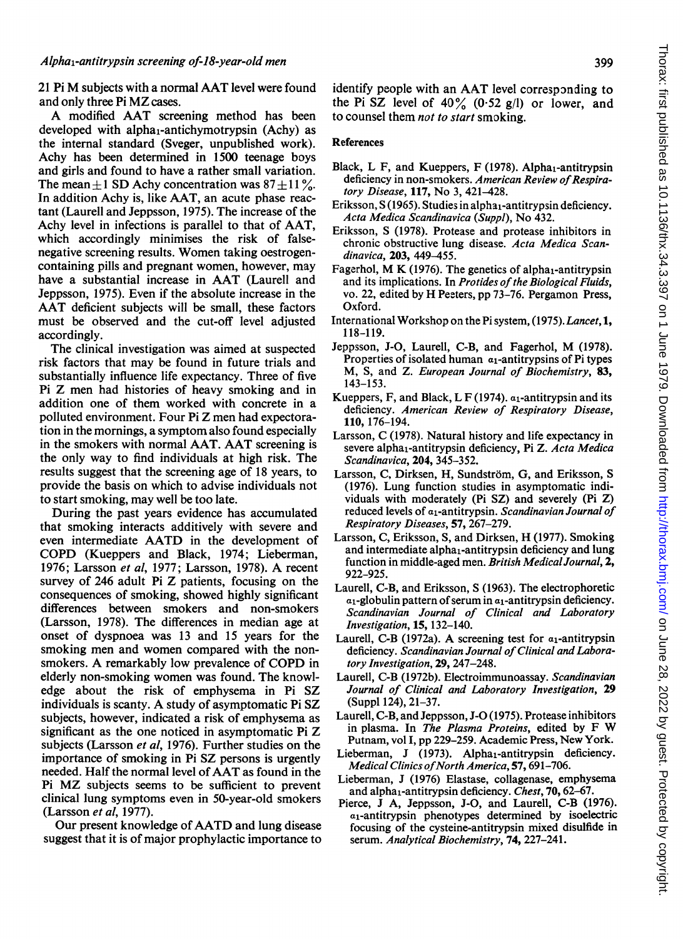<sup>21</sup> Pi M subjects with <sup>a</sup> normal AAT level were found and only three Pi MZ cases.

A modified AAT screening method has been developed with alpha<sub>1</sub>-antichymotrypsin (Achy) as the internal standard (Sveger, unpublished work). Achy has been determined in 1500 teenage boys and girls and found to have a rather small variation. The mean  $+1$  SD Achy concentration was  $87 + 11\%$ . In addition Achy is, like AAT, an acute phase reactant (Laurell and Jeppsson, 1975). The increase of the Achy level in infections is parallel to that of AAT, which accordingly minimises the risk of falsenegative screening results. Women taking oestrogencontaining pills and pregnant women, however, may have <sup>a</sup> substantial increase in AAT (Laurell and Jeppsson, 1975). Even if the absolute increase in the AAT deficient subjects will be small, these factors must be observed and the cut-off level adjusted accordingly.

The clinical investigation was aimed at suspected risk factors that may be found in future trials and substantially influence life expectancy. Three of five Pi Z men had histories of heavy smoking and in addition one of them worked with concrete in a polluted environment. Four Pi Z men had expectoration in the mornings, a symptom also found especially in the smokers with normal AAT. AAT screening is the only way to find individuals at high risk. The results suggest that the screening age of 18 years, to provide the basis on which to advise individuals not to start smoking, may well be too late.

During the past years evidence has accumulated that smoking interacts additively with severe and even intermediate AATD in the development of COPD (Kueppers and Black, 1974; Lieberman, 1976; Larsson et al, 1977; Larsson, 1978). A recent survey of 246 adult Pi Z patients, focusing on the consequences of smoking, showed highly significant differences between smokers and non-smokers (Larsson, 1978). The differences in median age at onset of dyspnoea was 13 and 15 years for the smoking men and women compared with the nonsmokers. A remarkably low prevalence of COPD in elderly non-smoking women was found. The knowledge about the risk of emphysema in Pi SZ individuals is scanty. A study of asymptomatic Pi SZ subjects, however, indicated a risk of emphysema as significant as the one noticed in asymptomatic Pi Z subjects (Larsson et al, 1976). Further studies on the importance of smoking in Pi SZ persons is urgently needed. Half the normal level of AAT as found in the Pi MZ subjects seems to be sufficient to prevent clinical lung symptoms even in 50-year-old smokers (Larsson et al, 1977).

Our present knowledge of AATD and lung disease suggest that it is of major prophylactic importance to identify people with an AAT level corresponding to the Pi SZ level of  $40\%$  (0.52 g/l) or lower, and to counsel them *not to start* smoking.

### References

- Black, L F, and Kueppers, F  $(1978)$ . Alpha<sub>1</sub>-antitrypsin deficiency in non-smokers. American Review of Respiratory Disease, 117, No 3, 421-428.
- Eriksson, S (1965). Studies in alpha<sub>1</sub>-antitrypsin deficiency. Acta Medica Scandinavica (Suppl), No 432.
- Eriksson, S (1978). Protease and protease inhibitors in chronic obstructive lung disease. Acta Medica Scandinavica, 203, 449-455.
- Fagerhol, M K (1976). The genetics of alpha<sub>1</sub>-antitrypsin and its implications. In Protides of the Biological Fluids, vo. 22, edited by H Peeters, pp 73-76. Pergamon Press, Oxford.
- International Workshop on the Pi system, (1975).Lancet, 1, 118-119.
- Jeppsson, J-O, Laurell, C-B, and Fagerhol, M (1978). Properties of isolated human  $a_1$ -antitrypsins of Pi types M, S, and Z. European Journal of Biochemistry, 83, 143-153.
- Kueppers, F, and Black, L F (1974).  $a_1$ -antitrypsin and its deficiency. American Review of Respiratory Disease, 110, 176-194.
- Larsson, C (1978). Natural history and life expectancy in severe alpha<sub>1</sub>-antitrypsin deficiency, Pi Z. Acta Medica Scandinavica, 204, 345-352.
- Larsson, C, Dirksen, H, Sundström, G, and Eriksson, S (1976). Lung function studies in asymptomatic individuals with moderately (Pi SZ) and severely (Pi Z) reduced levels of a<sub>1</sub>-antitrypsin. Scandinavian Journal of Respiratory Diseases, 57, 267-279.
- Larsson, C, Eriksson, S, and Dirksen, H (1977). Smoking and intermediate alpha<sub>1</sub>-antitrypsin deficiency and lung function in middle-aged men. British Medical Journal, 2, 922-925.
- Laurell, C-B, and Eriksson, S (1963). The electrophoretic  $a_1$ -globulin pattern of serum in  $a_1$ -antitrypsin deficiency. Scandinavian Journal of Clinical and Laboratory Investigation, 15, 132-140.
- Laurell, C-B (1972a). A screening test for  $a_1$ -antitrypsin deficiency. Scandinavian Journal of Clinical and Laboratory Investigation, 29, 247-248.
- Laurell, C-B (1972b). Electroimmunoassay. Scandinavian Journal of Clinical and Laboratory Investigation, 29 (Suppl 124), 21-37.
- Laurell, C-B, and Jeppsson, J-O (1975). Protease inhibitors in plasma. In The Plasma Proteins, edited by <sup>F</sup> W Putnam, vol I, pp 229-259. Academic Press, New York.
- Lieberman, J (1973). Alpha<sub>1</sub>-antitrypsin deficiency. Medical Clinics of North America, 57, 691-706.
- Lieberman, J (1976) Elastase, collagenase, emphysema and alpha<sub>1</sub>-antitrypsin deficiency. Chest,  $70, 62-67$ .
- Pierce, J A, Jeppsson, J-O, and Laurell, C-B (1976).  $a_1$ -antitrypsin phenotypes determined by isoelectric focusing of the cysteine-antitrypsin mixed disulfide in serum. Analytical Biochemistry, 74, 227-241.